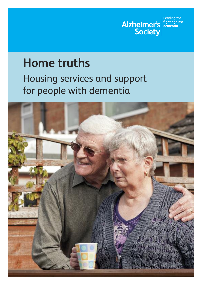

# **Home truths**

Housing services and support for people with dementia

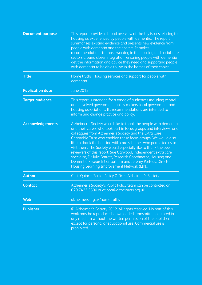| <b>Document purpose</b> | This report provides a broad overview of the key issues relating to<br>housing as experienced by people with dementia. The report<br>summarises existing evidence and presents new evidence from<br>people with dementia and their carers. It makes<br>recommendations to those working in the housing and social care<br>sectors around closer integration, ensuring people with dementia<br>get the information and advice they need and supporting people<br>with dementia to be able to live in the homes of their choice.                                                                                                                            |  |
|-------------------------|-----------------------------------------------------------------------------------------------------------------------------------------------------------------------------------------------------------------------------------------------------------------------------------------------------------------------------------------------------------------------------------------------------------------------------------------------------------------------------------------------------------------------------------------------------------------------------------------------------------------------------------------------------------|--|
| <b>Title</b>            | Home truths: Housing services and support for people with<br>dementia                                                                                                                                                                                                                                                                                                                                                                                                                                                                                                                                                                                     |  |
| <b>Publication date</b> | June 2012                                                                                                                                                                                                                                                                                                                                                                                                                                                                                                                                                                                                                                                 |  |
| <b>Target audience</b>  | This report is intended for a range of audiences including central<br>and devolved government, policy makers, local government and<br>housing associations. Its recommendations are intended to<br>inform and change practice and policy.                                                                                                                                                                                                                                                                                                                                                                                                                 |  |
| <b>Acknowledgements</b> | Alzheimer's Society would like to thank the people with dementia<br>and their carers who took part in focus groups and interviews, and<br>colleagues from Alzheimer's Society and the Extra Care<br>Charitable Trust who enabled these focus groups. We would also<br>like to thank the housing with care schemes who permitted us to<br>visit them. The Society would especially like to thank the peer<br>reviewers of this report: Sue Garwood, independent extra care<br>specialist, Dr Julie Barrett, Research Coordinator, Housing and<br>Dementia Research Consortium and Jeremy Porteus, Director,<br>Housing Learning Improvement Network (LIN). |  |
| <b>Author</b>           | Chris Quince, Senior Policy Officer, Alzheimer's Society                                                                                                                                                                                                                                                                                                                                                                                                                                                                                                                                                                                                  |  |
| <b>Contact</b>          | Alzheimer's Society's Public Policy team can be contacted on<br>020 7423 3500 or at ppa@alzheimers.org.uk                                                                                                                                                                                                                                                                                                                                                                                                                                                                                                                                                 |  |
| <b>Web</b>              | alzheimers.org.uk/hometruths                                                                                                                                                                                                                                                                                                                                                                                                                                                                                                                                                                                                                              |  |
| <b>Publisher</b>        | © Alzheimer's Society 2012. All rights reserved. No part of this<br>work may be reproduced, downloaded, transmitted or stored in<br>any medium without the written permission of the publisher,<br>except for personal or educational use. Commercial use is<br>prohibited.                                                                                                                                                                                                                                                                                                                                                                               |  |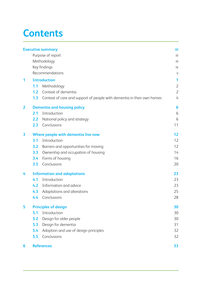# **Contents**

|                         |                                     | <b>Executive summary</b>                                               | iii            |  |
|-------------------------|-------------------------------------|------------------------------------------------------------------------|----------------|--|
|                         |                                     | Purpose of report                                                      | iii            |  |
|                         | Methodology                         |                                                                        |                |  |
|                         |                                     | Key findings                                                           | iv             |  |
|                         |                                     | Recommendations                                                        |                |  |
| 1                       | <b>Introduction</b>                 |                                                                        | 1              |  |
|                         | 1.1                                 | Methodology                                                            | $\overline{2}$ |  |
|                         | 1.2                                 | Context of dementia                                                    | $\overline{2}$ |  |
|                         | 1.3                                 | Context of care and support of people with dementia in their own homes | 4              |  |
| $\overline{\mathbf{2}}$ | <b>Dementia and housing policy</b>  |                                                                        | 6              |  |
|                         | 2.1                                 | Introduction                                                           | 6              |  |
|                         | 2.2                                 | National policy and strategy                                           | 6              |  |
|                         | 2.3                                 | Conclusions                                                            | 11             |  |
| 3                       | Where people with dementia live now |                                                                        | 12             |  |
|                         | 3.1                                 | Introduction                                                           | 12             |  |
|                         | 3.2                                 | Barriers and opportunities for moving                                  | 12             |  |
|                         | 3.3                                 | Ownership and occupation of housing                                    | 14             |  |
|                         | 3.4                                 | Forms of housing                                                       | 16             |  |
|                         | 3.5                                 | Conclusions                                                            | 20             |  |
| 4                       | <b>Information and adaptations</b>  |                                                                        | 23             |  |
|                         | 4.1                                 | Introduction                                                           | 23             |  |
|                         | 4.2                                 | Information and advice                                                 | 23             |  |
|                         | 4.3                                 | Adaptations and alterations                                            | 25             |  |
|                         | 4.4                                 | Conclusions                                                            | 28             |  |
| 5                       | <b>Principles of design</b>         |                                                                        | 30             |  |
|                         | 5.1                                 | Introduction                                                           | 30             |  |
|                         | 5.2                                 | Design for older people                                                | 30             |  |
|                         | 5.3                                 | Design for dementia                                                    | 31             |  |
|                         | 5.4                                 | Adoption and use of design principles                                  | 32             |  |
|                         | 5.5                                 | Conclusions                                                            | 32             |  |
| 6                       |                                     | <b>References</b>                                                      | 33             |  |
|                         |                                     |                                                                        |                |  |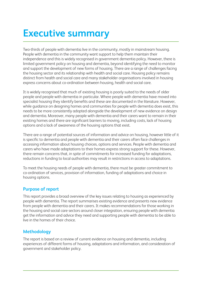# **Executive summary**

Two-thirds of people with dementia live in the community, mostly in mainstream housing. People with dementia in the community want support to help them maintain their independence and this is widely recognised in government dementia policy. However, there is limited government policy on housing and dementia, beyond identifying the need to monitor and support the development of new forms of housing. There are a range of challenges facing the housing sector and its relationship with health and social care. Housing policy remains distinct from health and social care and many stakeholder organisations involved in housing express concerns about co-ordination between housing, health and social care.

It is widely recognised that much of existing housing is poorly suited to the needs of older people and people with dementia in particular. Where people with dementia have moved into specialist housing they identify benefits and these are documented in the literature. However, while guidance on designing homes and communities for people with dementia does exist, this needs to be more consistently adopted alongside the development of new evidence on design and dementia. Moreover, many people with dementia and their carers want to remain in their existing homes and there are significant barriers to moving, including costs, lack of housing options and a lack of awareness of the housing options that exist.

There are a range of potential sources of information and advice on housing, however little of it is specific to dementia and people with dementia and their carers often face challenges in accessing information about housing choices, options and services. People with dementia and carers who have made adaptations to their homes express strong support for these. However, there remain concerns that, in spite of commitments for increased funding for adaptations, reductions in funding to local authorities may result in restrictions in access to adaptations.

To meet the housing needs of people with dementia, there must be greater commitment to co-ordination of services, provision of information, funding of adaptations and choice in housing options.

## **Purpose of report**

This report provides a broad overview of the key issues relating to housing as experienced by people with dementia. The report summarises existing evidence and presents new evidence from people with dementia and their carers. It makes recommendations for those working in the housing and social care sectors around closer integration, ensuring people with dementia get the information and advice they need and supporting people with dementia to be able to live in the homes of their choice.

# **Methodology**

The report is based on a review of current evidence on housing and dementia, including experiences of different forms of housing, adaptations and information, and consideration of government and stakeholder policy.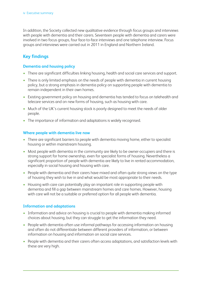In addition, the Society collected new qualitative evidence through focus groups and interviews with people with dementia and their carers. Seventeen people with dementia and carers were involved in two focus groups, four face-to-face interviews and one telephone interview. Focus groups and interviews were carried out in 2011 in England and Northern Ireland.

# **Key findings**

#### **Dementia and housing policy**

- There are significant difficulties linking housing, health and social care services and support.
- There is only limited emphasis on the needs of people with dementia in current housing policy, but a strong emphasis in dementia policy on supporting people with dementia to remain independent in their own homes.
- Existing government policy on housing and dementia has tended to focus on telehealth and telecare services and on new forms of housing, such as housing with care.
- Much of the UK's current housing stock is poorly designed to meet the needs of older people.
- The importance of information and adaptations is widely recognised.

#### **Where people with dementia live now**

- There are significant barriers to people with dementia moving home, either to specialist housing or within mainstream housing.
- Most people with dementia in the community are likely to be owner-occupiers and there is strong support for home ownership, even for specialist forms of housing. Nevertheless a significant proportion of people with dementia are likely to live in rented accommodation, especially in social housing and housing with care.
- People with dementia and their carers have mixed and often quite strong views on the type of housing they wish to live in and what would be most appropriate to their needs.
- Housing with care can potentially play an important role in supporting people with dementia and fill a gap between mainstream homes and care homes. However, housing with care will not be a suitable or preferred option for all people with dementia.

#### **Information and adaptations**

- Information and advice on housing is crucial to people with dementia making informed choices about housing, but they can struggle to get the information they need.
- People with dementia often use informal pathways for accessina information on housina and often do not differentiate between different providers of information, or between information on housing and information on social care services.
- People with dementia and their carers often access adaptations, and satisfaction levels with these are very high.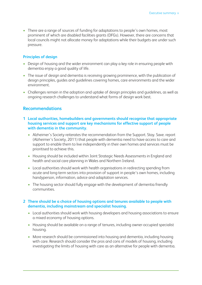• There are a range of sources of funding for adaptations to people's own homes, most prominent of which are disabled facilities grants (DFGs). However, there are concerns that local councils might not allocate money for adaptations while their budgets are under such pressure.

#### **Principles of design**

- Design of housing and the wider environment can play a key role in ensuring people with dementia enjoy a good quality of life.
- The issue of design and dementia is receiving growing prominence, with the publication of design principles, guides and guidelines covering homes, care environments and the wider environment.
- Challenges remain in the adoption and uptake of design principles and guidelines, as well as ongoing research challenges to understand what forms of design work best.

#### **Recommendations**

- **1 Local authorities, homebuilders and governments should recognise that appropriate housing services and support are key mechanisms for effective support of people with dementia in the community.**
	- Alzheimer's Society reiterates the recommendation from the Support. Stay. Save. report (Alzheimer's Society, 2011) that people with dementia need to have access to care and support to enable them to live independently in their own homes and services must be prioritised to achieve this.
	- Housing should be included within Joint Strategic Needs Assessments in England and health and social care planning in Wales and Northern Ireland.
	- Local authorities should work with health organisations in redirecting spending from acute and long-term sectors into provision of support in people's own homes, including handyperson, information, advice and adaptation services.
	- The housing sector should fully engage with the development of dementia friendly communities.

#### **2 There should be a choice of housing options and tenures available to people with dementia, including mainstream and specialist housing.**

- Local authorities should work with housing developers and housing associations to ensure a mixed economy of housing options.
- Housing should be available on a range of tenures, including owner-occupied specialist housing.
- More research should be commissioned into housing and dementia, including housing with care. Research should consider the pros and cons of models of housing, including investigating the limits of housing with care as an alternative for people with dementia.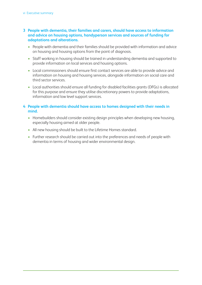#### **3 People with dementia, their families and carers, should have access to information and advice on housing options, handyperson services and sources of funding for adaptations and alterations.**

- People with dementia and their families should be provided with information and advice on housing and housing options from the point of diagnosis.
- Staff working in housing should be trained in understanding dementia and supported to provide information on local services and housing options.
- Local commissioners should ensure first contact services are able to provide advice and information on housing and housing services, alongside information on social care and third sector services.
- Local authorities should ensure all funding for disabled facilities grants (DFGs) is allocated for this purpose and ensure they utilise discretionary powers to provide adaptations, information and low level support services.

#### **4 People with dementia should have access to homes designed with their needs in mind.**

- Homebuilders should consider existing design principles when developing new housing, especially housing aimed at older people.
- All new housing should be built to the Lifetime Homes standard.
- Further research should be carried out into the preferences and needs of people with dementia in terms of housing and wider environmental design.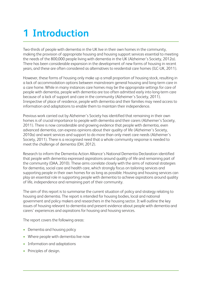# **1 Introduction**

Two-thirds of people with dementia in the UK live in their own homes in the community, making the provision of appropriate housing and housing support services essential to meeting the needs of the 800,000 people living with dementia in the UK (Alzheimer's Society, 2012a). There has been considerable expansion in the development of new forms of housing in recent years, and these are often considered as alternatives to residential care homes (ILC-UK, 2011).

However, these forms of housing only make up a small proportion of housing stock, resulting in a lack of accommodation options between mainstream general housing and long-term care in a care home. While in many instances care homes may be the appropriate settings for care of people with dementia, people with dementia are too often admitted early into long-term care because of a lack of support and care in the community (Alzheimer's Society, 2011). Irrespective of place of residence, people with dementia and their families may need access to information and adaptations to enable them to maintain their independence.

Previous work carried out by Alzheimer's Society has identified that remaining in their own homes is of crucial importance to people with dementia and their carers (Alzheimer's Society, 2011). There is now considerable and growing evidence that people with dementia, even advanced dementia, can express opinions about their quality of life (Alzheimer's Society, 2010a) and want services and support to do more than only meet care needs (Alzheimer's Society, 2011). There is a recognised need that a whole community response is needed to meet the challenge of dementia (DH, 2012).

Research to inform the Dementia Action Alliance's National Dementia Declaration identified that people with dementia expressed aspirations around quality of life and remaining part of the community (DAA, 2010). These aims correlate closely with the aims of national strategies for dementia, social care and health care, which strongly focus on tailoring services and supporting people in their own homes for as long as possible. Housing and housing services can play an essential role in supporting people with dementia to achieve aspirations around quality of life, independence and remaining part of their community.

The aim of this report is to summarise the current situation of policy and strategy relating to housing and dementia. The report is intended for housing bodies, local and national government and policy makers and researchers in the housing sector. It will outline the key issues of housing relevant to dementia and present evidence about people with dementia and carers' experiences and aspirations for housing and housing services.

The report covers the following areas:

- Dementia and housing policy
- Where people with dementia live now
- Information and adaptations
- Principles of design.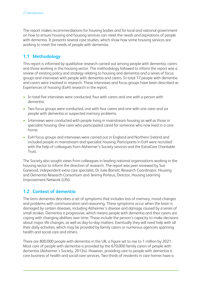The report makes recommendations for housing bodies and for local and national government on how to ensure housing and housing services can meet the needs and aspirations of people with dementia. It presents several case studies, which show how some housing services are working to meet the needs of people with dementia.

# **1.1 Methodology**

This report is informed by qualitative research carried out among people with dementia, carers and those working in the housing sector. The methodology followed to inform the report was a review of existing policy and strategy relating to housing and dementia and a series of focus groups and interviews with people with dementia and carers. In total 17 people with dementia and carers were involved in research. These interviews and focus groups have been described as Experiences of housing (EoH) research in the report.

- In total five interviews were conducted, four with carers and one with a person with dementia.
- Two focus groups were conducted, one with four carers and one with one carer and six people with dementia or suspected memory problems.
- Interviews were conducted with people living in mainstream housing as well as those in specialist housing. One carer who participated cared for someone who now lived in a care home.
- EoH focus groups and interviews were carried out in England and Northern Ireland and included people in mainstream and specialist housing. Participants in EoH were recruited with the help of colleagues from Alzheimer's Society services and the ExtraCare Charitable Trust.

The Society also sought views from colleagues in leading national organisations working in the housing sector to inform the direction of research. The report was peer reviewed by Sue Garwood, independent extra care specialist, Dr Julie Barrett, Research Coordinator, Housing and Dementia Research Consortium and Jeremy Porteus, Director, Housing Learning Improvement Network (LIN).

# **1.2 Context of dementia**

The term dementia describes a set of symptoms that includes loss of memory, mood changes and problems with communication and reasoning. These symptoms occur when the brain is damaged by certain diseases, including Alzheimer's disease and damage caused by a series of small strokes. Dementia is progressive, which means people with dementia and their carers are coping with changing abilities over time. These include the person's capacity to make decisions about major life changes, as well as day-to-day matters. Eventually they will need help with all their daily activities, which may be provided by family carers or numerous agencies spanning health and social care and others.

There are 800,000 people with dementia in the UK, a figure set to rise to 1 million by 2021. Most care of people with dementia is provided by the 670,000 family carers of people with dementia (Alzheimer's Society, 2012a). However, providing care to people with dementia is core business of health and social care services. Two-thirds of residents in care homes have a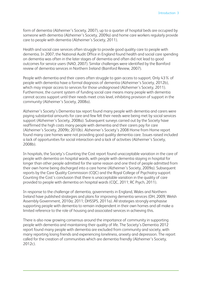form of dementia (Alzheimer's Society, 2007), up to a quarter of hospital beds are occupied by someone with dementia (Alzheimer's Society, 2009a) and home care workers regularly provide care to people with dementia (Alzheimer's Society, 2011).

Health and social care services often struggle to provide good quality care to people with dementia. In 2007, the National Audit Office in England found health and social care spending on dementia was often in the later stages of dementia and often did not lead to good outcomes for service users (NAO, 2007). Similar challenges were identified by the Bamford review of dementia services in Northern Ireland (Bamford Review, 2007).

People with dementia and their carers often struggle to gain access to support. Only 43% of people with dementia have a formal diagnosis of dementia (Alzheimer's Society, 2012b), which may impair access to services for those undiagnosed (Alzheimer's Society, 2011). Furthermore, the current system of funding social care means many people with dementia cannot access support until their needs meet crisis level, inhibiting provision of support in the community (Alzheimer's Society, 2008a).

Alzheimer's Society's Dementia tax report found many people with dementia and carers were paying substantial amounts for care and few felt their needs were being met by social services support (Alzheimer's Society, 2008a). Subsequent surveys carried out by the Society have reaffirmed the high costs many people with dementia and their carers pay for care (Alzheimer's Society, 2009b; 2010b). Alzheimer's Society's 2008 Home from Home report found many care homes were not providing good quality dementia care. Issues raised included a lack of opportunities for social interaction and a lack of activities (Alzheimer's Society, 2008b).

In hospitals, the Society's Counting the Cost report found unacceptable variation in the care of people with dementia on hospital wards, with people with dementia staying in hospital for longer than other people admitted for the same reason and one third of people admitted from their own home being discharged into a care home (Alzheimer's Society, 2009a). Subsequent reports by the Care Quality Commission (CQC) and the Royal College of Psychiatry support Counting the Cost's conclusion that there is unacceptable variation in the quality of care provided to people with dementia on hospital wards (CQC, 2011; RC Psych, 2011).

In response to the challenge of dementia, governments in England, Wales and Northern Ireland have published strategies and plans for improving dementia services (DH, 2009; Welsh Assembly Government, 2010a; 2011; DHSSPS, 2011a). All strategies strongly emphasise supporting people with dementia to remain independent in their own homes and all make a limited reference to the role of housing and associated services in achieving this.

There is also now growing consensus around the importance of community in supporting people with dementia and maintaining their quality of life. The Society's Dementia 2012 report found many people with dementia are excluded from community and society, with many reporting losing friends and experiencing loneliness, anxiety and depression. The report called for the creation of communities which are dementia friendly (Alzheimer's Society, 2012c).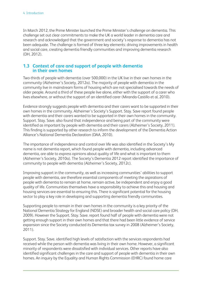In March 2012, the Prime Minister launched the Prime Minister's challenge on dementia. This challenge set out clear commitments to make the UK a world leader in dementia care and research and acknowledged that the government and society's response to dementia has not been adequate. The challenge is formed of three key elements: driving improvements in health and social care, creating dementia friendly communities and improving dementia research (DH, 2012).

### **1.3 Context of care and support of people with dementia in their own homes**

Two-thirds of people with dementia (over 500,000) in the UK live in their own homes in the community (Alzheimer's Society, 2012a). The majority of people with dementia in the community live in mainstream forms of housing which are not specialised towards the needs of older people. Around a third of these people live alone, either with the support of a carer who lives elsewhere, or without the support of an identified carer (Miranda-Castillo et al, 2010).

Evidence strongly suggests people with dementia and their carers want to be supported in their own homes in the community. Alzheimer's Society's Support. Stay. Save report found people with dementia and their carers wanted to be supported in their own homes in the community. Support. Stay. Save. also found that independence and being part of the community were identified as important by people with dementia and their carers (Alzheimer's Society, 2011). This finding is supported by other research to inform the development of the Dementia Action Alliance's National Dementia Declaration (DAA, 2010).

The importance of independence and control over life was also identified in the Society's My name is not dementia report, which found people with dementia, including advanced dementia, are able to express opinions about quality of life and what is important to them (Alzheimer's Society, 2010a). The Society's Dementia 2012 report identified the importance of community to people with dementia (Alzheimer's Society, 2012c).

Improving support in the community, as well as increasing communities' abilities to support people with dementia, are therefore essential components of meeting the aspirations of people with dementia to remain at home, remain active, be independent and enjoy a good quality of life. Communities themselves have a responsibility to achieve this and housing and housing services are essential to ensuring this. There is significant potential for the housing sector to play a key role in developing and supporting dementia friendly communities.

Supporting people to remain in their own homes in the community is a key priority of the National Dementia Strategy for England (NDSE) and broader health and social care policy (DH, 2009). However the Support. Stay. Save. report found half of people with dementia were not getting enough support in their own homes and that there had been little evidence of service expansion since the Society conducted its Dementia tax survey in 2008 (Alzheimer's Society, 2011).

Support. Stay. Save. identified high levels of satisfaction with the services respondents had received while the person with dementia was living in their own home. However, a significant minority of respondents were dissatisfied with individual services. Other reports have also identified significant challenges in the care and support of people with dementia in their own homes. An inquiry by the Equality and Human Rights Commission (EHRC) found home care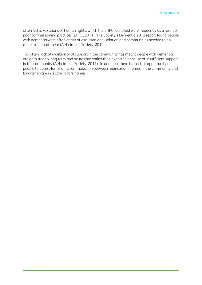often led to violations of human rights, which the EHRC identified were frequently as a result of poor commissioning practices (EHRC, 2011). The Society's Dementia 2012 report found people with dementia were often at risk of exclusion and isolation and communities needed to do more to support them (Alzheimer's Society, 2012c).

Too often, lack of availability of support in the community has meant people with dementia are admitted to long-term and acute care earlier than expected because of insufficient support in the community (Alzheimer's Society, 2011). In addition, there is a lack of opportunity for people to access forms of accommodation between mainstream homes in the community and long-term care in a care in care homes.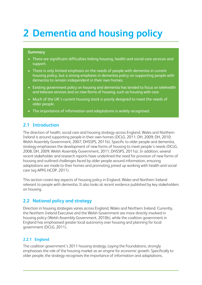# **2 Dementia and housing policy**

#### **Summary**

- There are significant difficulties linking housing, health and social care services and support.
- There is only limited emphasis on the needs of people with dementia in current housing policy, but a strong emphasis in dementia policy on supporting people with dementia to remain independent in their own homes.
- Existing government policy on housing and dementia has tended to focus on telehealth and telecare services and on new forms of housing, such as housing with care.
- Much of the UK's current housing stock is poorly designed to meet the needs of older people.
- The importance of information and adaptations is widely recognised.

## **2.1 Introduction**

The direction of health, social care and housing strategy across England, Wales and Northern Ireland is around supporting people in their own homes (DCLG, 2011; DH, 2009; DH, 2010; Welsh Assembly Government, 2007; DHSSPS, 2011b). Specific to older people and dementia, strategy emphasises the development of new forms of housing to meet people's needs (DCLG, 2008, DH, 2009; Welsh Assembly Government, 2011; DHSSPS, 2011a). In addition, several recent stakeholder and research reports have underlined the need for provision of new forms of housing and outlined challenges faced by older people around information, ensuring adaptations are made to their homes and promoting joined up working with health and social care (eg APPG HCOP, 2011).

This section covers key aspects of housing policy in England, Wales and Northern Ireland relevant to people with dementia. It also looks at recent evidence published by key stakeholders on housing.

# **2.2 National policy and strategy**

Direction in housing strategies varies across England, Wales and Northern Ireland. Currently, the Northern Ireland Executive and the Welsh Government are more directly involved in housing policy (Welsh Assembly Government, 2010b), while the coalition government in England has emphasised greater local autonomy over housing and planning for local government (DCLG, 2011).

#### **2.2.1 England**

The coalition government's 2011 housing strategy, Laying the Foundations, strongly emphasises the role of the housing market as an engine for economic growth. Specifically to older people, the strategy recognises the importance of information and adaptations,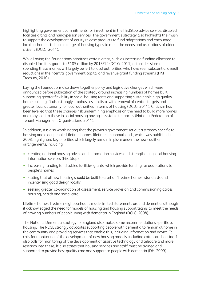highlighting government commitments for investment in the FirstStop advice service, disabled facilities grants and handyperson services. The government's strategy also highlights their wish to support the development of equity release products to fund adaptations and encourage local authorities to build a range of housing types to meet the needs and aspirations of older citizens (DCLG, 2011).

While Laying the Foundations prioritises certain areas, such as increasing funding allocated to disabled facilities grants to £185 million by 2013/14 (DCLG, 2011) actual decisions on spending these monies will largely be left to local authorities, who have seen substantial overall reductions in their central government capital and revenue grant funding streams (HM Treasury, 2010).

Laying the Foundations also draws together policy and legislative changes which were announced before publication of the strategy around increasing numbers of homes built, supporting greater flexibility in social housing rents and supporting sustainable high quality home building. It also strongly emphasises localism, with removal of central targets and greater local autonomy for local authorities in terms of housing (DCLG, 2011). Criticism has been levelled that these changes risk undermining emphasis on the need to build more homes and may lead to those in social housing having less stable tenancies (National Federation of Tenant Management Organisations, 2011).

In addition, it is also worth noting that the previous government set out a strategy specific to housing and older people. Lifetime homes, lifetime neighbourhoods, which was published in 2008, highlighted key priorities which largely remain in place under the new coalition arrangements, including:

- creating national housing advice and information services and strengthening local housing information services (FirstStop)
- increasing funding for disabled facilities grants, which provide funding for adaptations to people's homes
- stating that all new housing should be built to a set of 'lifetime homes' standards and incentivising good design locally
- seeking greater co-ordination of assessment, service provision and commissioning across housing, health and social care.

Lifetime homes, lifetime neighbourhoods made limited statements around dementia, although it acknowledged the need for models of housing and housing support teams to meet the needs of growing numbers of people living with dementia in England (DCLG, 2008).

The National Dementia Strategy for England also makes some recommendations specific to housing. The NDSE strongly advocates supporting people with dementia to remain at home in the community and providing services that enable this, including information and advice. It calls for monitoring of the development of new housing models, including extra care housing. It also calls for monitoring of the developoment of assistive technology and telecare and more research into these. It also states that housing services and staff must be trained and supported to provide best quality care and support to people with dementia (DH, 2009).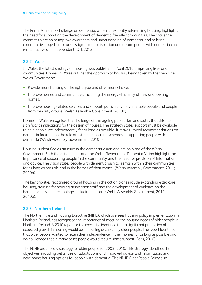The Prime Minister's challenge on dementia, while not explicitly referencing housing, highlights the need for supporting the development of dementia friendly communities. The challenge commits to action to improve awareness and understanding of dementia, and to bring communities together to tackle stigma, reduce isolation and ensure people with dementia can remain active and independent (DH, 2012).

# **2.2.2 Wales**

In Wales, the latest strategy on housing was published in April 2010. Improving lives and communities: Homes in Wales outlines the approach to housing being taken by the then One Wales Government:

- Provide more housing of the right type and offer more choice.
- Improve homes and communities, including the energy efficiency of new and existing homes.
- Improve housing-related services and support, particularly for vulnerable people and people from minority groups (Welsh Assembly Government, 2010b).

Homes in Wales recognises the challenge of the ageing population and states that this has significant implications for the design of houses. The strategy states support must be available to help people live independently for as long as possible. It makes limited recommendations on dementia focusing on the role of extra care housing schemes in supporting people with dementia (Welsh Assembly Government, 2010b).

Housing is identified as an issue in the dementia vision and action plans of the Welsh Government. Both the action plans and the Welsh Government Dementia Vision highlight the importance of supporting people in the community and the need for provision of information and advice. The vision states people with dementia wish to 'remain within their communities for as long as possible and in the homes of their choice' (Welsh Assembly Government, 2011; 2010a).

The key priorities recognised around housing in the action plans include expanding extra care housing, training for housing association staff and the development of evidence on the benefits of assisted technology, including telecare (Welsh Assembly Government, 2011; 2010a).

## **2.2.3 Northern Ireland**

The Northern Ireland Housing Executive (NIHE), which oversees housing policy implementation in Northern Ireland, has recognised the importance of meeting the housing needs of older people in Northern Ireland. A 2010 report to the executive identified that a significant proportion of the expected growth in housing would be in housing occupied by older people. The report identified that older people wanted to retain their independence in their homes for as long as possible and acknowledged that in many cases people would require some support (Paris, 2010).

The NIHE produced a strategy for older people for 2008–2010. This strategy identified 15 objectives, including better use of adaptations and improved advice and information, and developing housing options for people with dementia. The NIHE Older People Policy also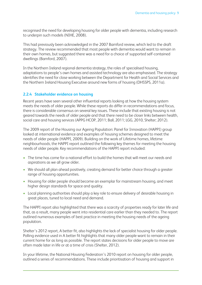recognised the need for developing housing for older people with dementia, including research to underpin such models (NIHE, 2008).

This had previously been acknowledged in the 2007 Bamford review, which led to the draft strategy. The review recommended that most people with dementia would want to remain in their own homes, but suggested there was a need for a choice of supported self-contained dwellings (Bamford, 2007).

In the Northern Ireland regional dementia strategy, the roles of specialised housing, adaptations to people's own homes and assisted technology are also emphasised. The strategy identifies the need for close working between the Department for Health and Social Services and the Northern Ireland Housing Executive around new forms of housing (DHSSPS, 2011a).

#### **2.2.4 Stakeholder evidence on housing**

Recent years have seen several other influential reports looking at how the housing system meets the needs of older people. While these reports do differ in recommendations and focus, there is considerable consensus on several key issues. These include that existing housing is not geared towards the needs of older people and that there need to be closer links between health, social care and housing services (APPG HCOP, 2011; Ball, 2011; LGG, 2010, Shelter; 2012).

The 2009 report of the Housing our Ageing Population: Panel for Innovation (HAPPI) group looked at international evidence and examples of housing schemes designed to meet the needs of older people (HAPPI, 2009). Building on the work of Lifetime homes, lifetime neighbourhood*s*, the HAPPI report outlined the following key themes for meeting the housing needs of older people. Key recommendations of the HAPPI report included:

- The time has come for a national effort to build the homes that will meet our needs and aspirations as we all grow older.
- We should all plan ahead positively, creating demand for better choice through a greater range of housing opportunities.
- Housing for older people should become an exemplar for mainstream housing, and meet higher design standards for space and quality.
- Local planning authorities should play a key role to ensure delivery of desirable housing in great places, tuned to local need and demand.

The HAPPI report also highlighted that there was a scarcity of properties ready for later life and that, as a result, many people went into residential care earlier than they needed to. The report outlined numerous examples of best practice in meeting the housing needs of the ageing population.

Shelter's 2012 report, A better fit, also highlights the lack of specialist housing for older people. Polling evidence used in A better fit highlights that many older people want to remain in their current home for as long as possible. The report states decisions for older people to move are often made later in life or at a time of crisis (Shelter, 2012).

In your lifetime, the National Housing Federation's 2010 report on housing for older people, outlined a series of recommendations. These include prioritisation of housing and support in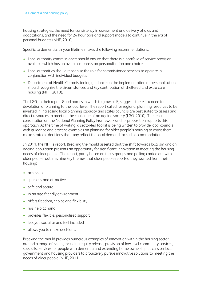housing strategies, the need for consistency in assessment and delivery of aids and adaptations, and the need for 24 hour care and support models to continue in the era of personal budgets (NHF, 2010).

Specific to dementia, In your lifetime makes the following recommendations:

- Local authority commissioners should ensure that there is a portfolio of service provision available which has an overall emphasis on personalisation and choice.
- Local authorities should recognise the role for commissioned services to operate in conjunction with individual budgets.
- Department of Health Commissioning guidance on the implementation of personalisation should recognise the circumstances and key contribution of sheltered and extra care housing (NHF, 2010).

The LGG, in their report Good homes in which to grow old?, suggests there is a need for devolution of planning to the local level. The report called for regional planning resources to be invested in increasing local planning capacity and states councils are best suited to assess and direct resources to meeting the challenge of an ageing society (LGG, 2010). The recent consultation on the National Planning Policy Framework and its proposition supports this approach. At the time of writing, a sector-led toolkit is being written to provide local councils with guidance and practice examples on planning for older people's housing to assist them make strategic decisions that may reflect the local demand for such accommodation.

In 2011, the NHF's report, Breaking the mould asserted that the shift towards localism and an ageing population presents an opportunity for significant innovation in meeting the housing needs of older people. The report, partly based on focus groups and polling carried out with older people, outlines nine key themes that older people reported they wanted from their housing:

- accessible
- spacious and attractive
- safe and secure
- in an age-friendly environment
- offers freedom, choice and flexibility
- has help at hand
- provides flexible, personalised support
- lets you socialise and feel included
- allows you to make decisions.

Breaking the mould provides numerous examples of innovation within the housing sector around a range of issues, including equity release, provision of low level community services, specialist services for people with dementia and extending home ownership. It calls on local government and housing providers to proactively pursue innovative solutions to meeting the needs of older people (NHF, 2011).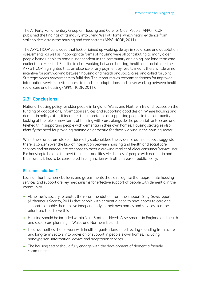The All Party Parliamentary Group on Housing and Care for Older People (APPG HCOP) published the findings of its inquiry into Living Well at Home, which heard evidence from stakeholders across the housing and care sectors (APPG HCOP, 2011).

The APPG HCOP concluded that lack of joined up working, delays in social care and adaptation assessments, as well as inappropriate forms of housing were all contributing to many older people being unable to remain independent in the community and going into long-term care earlier than expected. Specific to close working between housing, health and social care, the APPG HCOP highlighted that an absence of any payment by results means there is little or no incentive for joint working between housing and health and social care, and called for Joint Strategic Needs Assessments to fulfil this. The report makes recommendations for improved information services, better access to funds for adaptations and closer working between health, social care and housing (APPG HCOP, 2011).

### **2.3 Conclusions**

National housing policy for older people in England, Wales and Northern Ireland focuses on the funding of adaptations, information services and supporting good design. Where housing and dementia policy exists, it identifies the importance of supporting people in the community – looking at the role of new forms of housing with care, alongside the potential for telecare and telehealth in supporting people with dementia in their own homes. Housing strategies also identify the need for providing training on dementia for those working in the housing sector.

While these areas are also considered by stakeholders, the evidence outlined above suggests there is concern over the lack of integration between housing and health and social care services and an inadequate response to meet a growing market of older consumer/service user. For housing to be able to meet the needs and lifestyle choices of people with dementia and their carers, it has to be considered in conjunction with other areas of public policy.

#### **Recommendation 1**

Local authorities, homebuilders and governments should recognise that appropriate housing services and support are key mechanisms for effective support of people with dementia in the community.

- Alzheimer's Society reiterates the recommendation from the Support. Stay. Save. report (Alzheimer's Society, 2011) that people with dementia need to have access to care and support to enable them to live independently in their own homes and services must be prioritised to achieve this.
- Housing should be included within Joint Strategic Needs Assessments in England and health and social care planning in Wales and Northern Ireland.
- Local authorities should work with health organisations in redirecting spending from acute and long-term sectors into provision of support in people's own homes, including handyperson, information, advice and adaptation services.
- The housing sector should fully engage with the development of dementia friendly communities.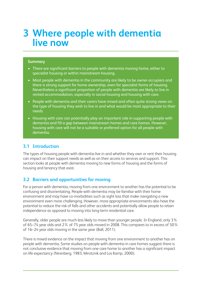# **3 Where people with dementia live now**

#### **Summary**

- There are significant barriers to people with dementia moving home, either to specialist housing or within mainstream housing.
- Most people with dementia in the community are likely to be owner-occupiers and there is strong support for home ownership, even for specialist forms of housing. Nevertheless a significant proportion of people with dementia are likely to live in rented accommodation, especially in social housing and housing with care.
- People with dementia and their carers have mixed and often quite strong views on the type of housing they wish to live in and what would be most appropriate to their needs.
- Housing with care can potentially play an important role in supporting people with dementia and fill a gap between mainstream homes and care homes. However, housing with care will not be a suitable or preferred option for all people with dementia.

## **3.1 Introduction**

The types of housing people with dementia live in and whether they own or rent their housing can impact on their support needs as well as on their access to services and support. This section looks at people with dementia moving to new forms of housing and the forms of housing and tenancy that exist.

# **3.2 Barriers and opportunities for moving**

For a person with dementia, moving from one environment to another has the potential to be confusing and disorientating. People with dementia may be familiar with their home environment and may have co-morbidities such as sight loss that make navigating a new environment even more challenging. However, more appropriate environments also have the potential to reduce the risk of falls and other accidents and potentially allow people to retain independence as opposed to moving into long-term residential care.

Generally, older people are much less likely to move than younger people. In England, only 3% of 65–74 year olds and 2% of 75 year olds moved in 2008. This compares to in excess of 50% of 16–24 year olds moving in the same year (Ball, 2011).

There is mixed evidence on the impact that moving from one environment to another has on people with dementia. Some studies on people with dementia in care homes suggest there is not conclusive evidence that moving from one care home to another has a significant impact on life expectancy (Nirenberg, 1983; Mirotznik and Los Kamp, 2000).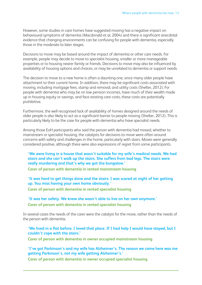However, some studies in care homes have suggested moving has a negative impact on behavioural symptoms of dementia (Macdonald et al, 2004) and there is significant anecdotal evidence that changing environments can be confusing for people with dementia, especially those in the moderate to later stages.

Decisions to move may be based around the impact of dementia or other care needs. For example, people may decide to move to specialist housing, smaller or more manageable properties or to housing nearer family or friends. Decisions to move may also be influenced by availability of housing options and choices, or may be unrelated to dementia or support needs.

The decision to move to a new home is often a daunting one, since many older people have attachment to their current home. In addition, there may be significant costs associated with moving, including mortgage fees, stamp and removal, and utility costs (Shelter, 2012). For people with dementia who may be on low pension incomes, have much of their wealth made up in housing equity or savings, and face existing care costs, these costs are potentially prohibitive.

Furthermore, the well recognised lack of availability of homes designed around the needs of older people is also likely to act as a significant barrier to people moving (Shelter, 2012). This is particularly likely to be the case for people with dementia who have specialist needs.

Among those EoH participants who said the person with dementia had moved, whether to mainstream or specialist housing, the catalysts for decisions to move were often around concerns with safety and challenges in the home, particularly with stairs. Moves were generally considered positive, although there were also expressions of regret from some participants.

**'We were living in a house that wasn't suitable for my wife's medical needs. We had stairs and she can't walk up the stairs. She suffers from bad legs. The stairs were really murdering and that's why we got the bungalow.'**

**Carer of person with dementia in rented mainstream housing**

**'It was hard to get things done and the stairs: I was scared at night of her getting up. You miss having your own home obviously.' Carer of person with dementia in rented specialist housing**

**'It was her safety. We knew she wasn't able to live on her own anymore.' Carer of person with dementia in rented specialist housing**

In several cases the needs of the carer were the catalyst for the move, rather than the needs of the person with dementia.

'We lived in a flat before. I loved that place. If I had help I would have stayed, but I **couldn't cope with the stairs.'**

**Carer of person with dementia in owner occupied mainstream housing**

**'I've got Parkinson's and my wife has Alzheimer's. The reason we came here was me getting Parkinson's, not my wife getting Alzheimer's.'**

**Carer of person with dementia in owner occupied specialist housing**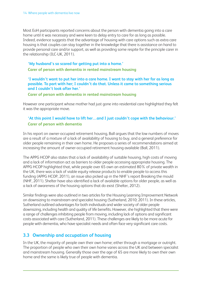Most EoH participants reported concerns about the person with dementia going into a care home until it was necessary and were keen to delay entry to care for as long as possible. Indeed, evidence suggests that the advantage of housing with care options such as extra care housing is that couples can stay together in the knowledge that there is assistance on hand to provide personal care and/or support, as well as providing some respite for the principle carer in the relationship (ILC-UK, 2011).

#### **'My husband's so scared for getting put into a home.'**

**Carer of person with dementia in rented mainstream housing**

#### **'I wouldn't want to put her into a care home. I want to stay with her for as long as possible. To part with her; I couldn't do that. Unless it came to something serious and I couldn't look after her.'**

**Carer of person with dementia in rented mainstream housing**

However one participant whose mother had just gone into residential care highlighted they felt it was the appropriate move.

# **'At this point I would have to lift her…and I just couldn't cope with the behaviour.' Carer of person with dementia**

In his report on owner-occupied retirement housing, Ball argues that the low numbers of moves are a result of a mixture of a lack of availability of housing to buy, and a general preference for older people remaining in their own home. He proposes a series of recommendations aimed at increasing the amount of owner-occupied retirement housing available (Ball, 2011).

The APPG HCOP also states that a lack of availability of suitable housing, high costs of moving and a lack of information act as barriers to older people accessing appropriate housing. The APPG HCOP highlighted that, while people over 65 own an estimated 80% of private wealth in the UK, there was a lack of viable equity release products to enable people to access this funding (APPG HCOP, 2011), an issue also picked up in the NHF's report Breaking the mould (NHF, 2011). Shelter have also identified a lack of available options for older people, as well as a lack of awareness of the housing options that do exist (Shelter, 2012).

Similar findings were also outlined in two articles for the Housing Learning Improvement Network on downsizing to mainstream and specialist housing (Sutherland, 2010; 2011). In these articles, Sutherland outlined advantages for both individuals and wider society of older people downsizing, including health and quality of life benefits. However, she highlighted that there were a range of challenges inhibiting people from moving, including lack of options and significant costs associated with care (Sutherland, 2011). These challenges are likely to be more acute for people with dementia, who have specialist needs and often face very significant care costs.

# **3.3 Ownership and occupation of housing**

In the UK, the majority of people own their own home; either through a mortgage or outright. The proportion of people who own their own home varies across the UK and between specialist and mainstream housing. Generally those over the age of 65 are more likely to own their own home and the same is likely true of people with dementia.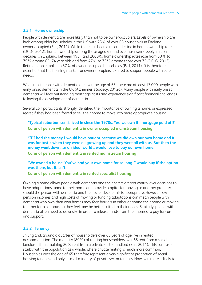#### **3.3.1 Home ownership**

People with dementia are more likely than not to be owner-occupiers. Levels of ownership are high among older households in the UK, with 75% of over-65 households in England owner-occupied (Ball, 2011). While there has been a recent decline in home ownership rates (DCLG, 2012), home ownership among those aged 65 and over has risen steeply in recent decades. In England, between 1981 and 2008/9, home ownership rates rose from 50% to 79% among 65–74 year olds and from 47% to 73% among those over 75 (DCLG, 2012). Retired people make up 57% of owner-occupied households (Ball, 2011). It is therefore essential that the housing market for owner-occupiers is suited to support people with care needs.

While most people with dementia are over the age of 65, there are at least 17,000 people with early onset dementia in the UK (Alzheimer's Society, 2012a). Many people with early onset dementia will face outstanding mortgage costs and experience significant financial challenges following the development of dementia.

Several EoH participants strongly identified the importance of owning a home, or expressed regret if they had been forced to sell their home to move into more appropriate housing.

**'Typical suburban semi, lived in since the 1970s. Yes, we own it; mortgage paid off!' Carer of person with dementia in owner occupied mainstream housing**

**'If I had the money I would have bought because we did own our own home and it was fantastic when they were all growing up and they were all with us. But then the money went down. In an ideal world I would love to buy our own home.' Carer of person with dementia in rented mainstream housing**

**'We owned a house. You've had your own home for so long. I would buy if the option was there, but it isn't.'**

**Carer of person with dementia in rented specialist housing**

Owning a home allows people with dementia and their carers greater control over decisions to have adaptations made to their home and provides capital for moving to another property, should the person with dementia and their carer decide this is appropriate. However, low pension incomes and high costs of moving or funding adaptations can mean people with dementia who own their own homes may face barriers in either adapting their home or moving to other forms of housing they feel may be better suited to their needs. Similarly, people with dementia often need to downsize in order to release funds from their homes to pay for care and support.

#### **3.3.2 Tenancy**

In England, around a quarter of householders over 65 years of age live in rented accommodation. The majority (80%) of renting householders over 65 rent from a social landlord. The remaining 20% rent from a private sector landlord (Ball, 2011). This contrasts starkly with the population as a whole, where private renting is much more common. Households over the age of 65 therefore represent a very significant proportion of social housing tenants and only a small minority of private sector tenants. However, there is likely to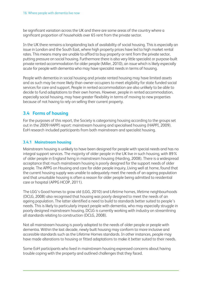be significant variation across the UK and there are some areas of the country where a significant proportion of households over 65 rent from the private sector.

In the UK there remains a longstanding lack of availability of social housing. This is especially an issue in London and the South East, where high property prices have led to high market rental rates. This means many are unable to afford to buy property or rent from the private sector, putting pressure on social housing. Furthermore there is also very little specialist or purpose-built private rented accommodation for older people (Miller, 2010), an issue which is likely especially acute for people with dementia who may have specialist needs in terms of housing.

People with dementia in social housing and private rented housing may have limited assets and as such may be more likely than owner-occupiers to meet eligibility for state funded social services for care and support. People in rented accommodation are also unlikely to be able to decide to fund adaptations to their own homes. However, people in rented accommodation, especially social housing, may have greater flexibility in terms of moving to new properties because of not having to rely on selling their current property.

# **3.4 Forms of housing**

For the purposes of this report, the Society is categorising housing according to the groups set out in the 2009 HAPPI report: mainstream housing and specialised housing (HAPPI, 2009). EoH research included participants from both mainstream and specialist housing.

#### **3.4.1 Mainstream housing**

Mainstream housing is unlikely to have been designed for people with special needs and has no integral support services. The majority of older people in the UK live in such housing, with 89% of older people in England living in mainstream housing (Harding, 2008). There is a widespread acceptance that much mainstream housing is poorly designed for the support needs of older people. The APPG on Housing and care for older people inquiry, Living well at home, found that the current housing supply was unable to adequately meet the needs of an ageing population and that unsuitable housing is often a reason for older people being admitted to residential care or hospital (APPG HCOP, 2011).

The LGG's Good homes to grow old (LGG, 2010) and Lifetime homes, lifetime neighbourhoods (DCLG, 2008) also recognised that housing was poorly designed to meet the needs of an ageing population. The latter identified a need to build to standards better suited to people's needs. This is likely to particularly impact people with dementia, who may especially struggle in poorly designed mainstream housing. DCLG is currently working with industry on streamlining all standards relating to construction (DCLG, 2008).

Not all mainstream housing is poorly adapted to the needs of older people or people with dementia. Within the last decade, newly built housing may conform to more inclusive and accessible standards such as the Lifetime Homes standards. In other instances, people may have made alterations to housing or fitted adaptations to make it better suited to their needs.

Some EoH participants who lived in mainstream housing expressed concerns about having trouble coping with the property and outlined challenges that they faced.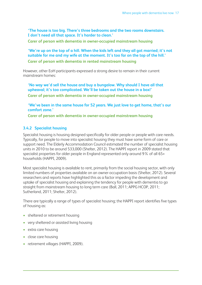**'The house is too big. There's three bedrooms and the two rooms downstairs. I don't need all that space. It's harder to clean.'**

**Carer of person with dementia in owner-occupied mainstream housing**

**'We're up on the top of a hill. When the kids left and they all got married; it's not suitable for me and my wife at the moment. It's too far on the top of the hill.' Carer of person with dementia in rented mainstream housing**

However, other EoH participants expressed a strong desire to remain in their current mainstream homes:

**'No way we'd sell the house and buy a bungalow. Why should I have all that upheaval; it's too complicated. We'll be taken out the house in a box!' Carer of person with dementia in owner-occupied mainstream housing**

**'We've been in the same house for 52 years. We just love to get home, that's our comfort zone.'**

**Carer of person with dementia in owner-occupied mainstream housing**

### **3.4.2 Specialist housing**

Specialist housing is housing designed specifically for older people or people with care needs. Typically, for people to move into specialist housing they must have some form of care or support need. The Elderly Accommodation Council estimated the number of specialist housing units in 2010 to be around 533,000 (Shelter, 2012). The HAPPI report in 2009 stated that specialist properties for older people in England represented only around 9% of all 65+ households (HAPPI, 2009).

Most specialist housing is available to rent, primarily from the social housing sector, with only limited numbers of properties available on an owner-occupation basis (Shelter, 2012). Several researchers and reports have highlighted this as a factor impeding the development and uptake of specialist housing and explaining the tendency for people with dementia to go straight from mainstream housing to long term care (Ball, 2011; APPG HCOP, 2011; Sutherland, 2011; Shelter, 2012).

There are typically a range of types of specialist housing; the HAPPI report identifies five types of housing as:

- sheltered or retirement housing
- very sheltered or assisted living housing
- extra care housing
- close care housing
- retirement villages (HAPPI, 2009).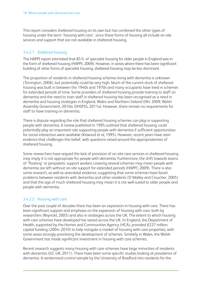This report considers sheltered housing on its own but has combined the other types of housing under the term 'housing with care', since these forms of housing all include on-site services and support that are not available in sheltered housing.

#### 3.4.2.1 Sheltered housing

The HAPPI report estimated that 85% of specialist housing for older people in England was in the form of sheltered housing (HAPPI, 2009). However, in areas where there has been significant building of other forms of specialist housing, sheltered housing may be less dominant.

The proportion of residents in sheltered housing schemes living with dementia is unknown (Torrington, 2006), but potentially could be very high. Much of the current stock of sheltered housing was built in between the 1940s and 1970s and many occupants have lived in schemes for extended periods of time. Some providers of sheltered housing provide training to staff on dementia and the need to train staff in sheltered housing has been recognised as a need in dementia and housing strategies in England, Wales and Northern Ireland (DH, 2009; Welsh Assembly Government, 2010a; DHSPSS, 2011a). However, there remain no requirements for staff to have training on dementia.

There is dispute regarding the role that sheltered housing schemes can play in supporting people with dementia. A review published in 1995 outlined that sheltered housing could potentially play an important role supporting people with dementia if sufficient opportunities for social interaction were available (Kitwood et al, 1995). However, recent years have seen evidence that challenges this belief, with questions raised around the appropriateness of sheltered housing.

Some researchers have argued the lack of provision of on-site care services in sheltered housing may imply it is not appropriate for people with dementia. Furthermore, the shift towards teams of 'floating' or peripatetic support workers covering several schemes may mean people with dementia are left without on-site support for extended periods (HAPPI, 2009). There is also some research, as well as anecdotal evidence, suggesting that some schemes have faced problems between residents with dementia and other residents (O'Malley and Croucher, 2005) and that the age of much sheltered housing may mean it is not well-suited to older people and people with dementia.

#### 3.4.2.2 Housing with care

Over the past couple of decades there has been an expansion in housing with care. There has been significant support and emphasis on the expansion of housing with care, both by researchers (Reynold, 2005) and also in strategies across the UK. The extent to which housing with care schemes have developed has varied across the UK. In England, the Department of Health, supported by the Homes and Communities Agency (HCA), provided £227 million capital funding (2004–2010) to help instigate a market of housing with care properties, with some areas strongly prioritising the development of schemes. Similarly in Wales, the Welsh Government has made significant investment in housing with care schemes.

Recent research suggests many housing with care schemes have large minorities of residents with dementia (ILC-UK, 2011). There have been some specific studies looking at prevalence of dementia. A randomised control sample by the University of Bradford into residents for the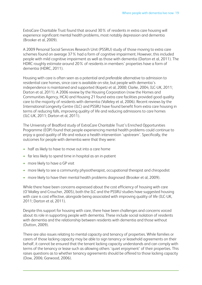ExtraCare Charitable Trust found that around 30% of residents in extra care housing will experience significant mental health problems, most notably depression and dementia (Brooker et al, 2009).

A 2009 Personal Social Services Research Unit (PSSRU) study of those moving to extra care schemes found on average 37% had a form of cognitive impairment. However, this included people with mild cognitive impairment as well as those with dementia (Darton et al, 2011). The HDRC roughly estimate around 20% of residents in members' properties have a form of dementia (HDRC, 2011).

Housing with care is often seen as a potential and preferable alternative to admission to residential care homes, since care is available on-site, but people with dementia's independence is maintained and supported (Kopetz et al, 2000; Clarke, 2004; ILC-UK, 2011; Darton et al, 2011). A 2006 review by the Housing Corporation (now the Homes and Communities Agency, HCA) and Housing 21 found extra care facilities provided good quality care to the majority of residents with dementia (Valleley et al, 2006). Recent reviews by the International Longevity Centre (ILC) and PSSRU have found benefit from extra care housing in terms of reducing falls, improving quality of life and reducing admissions to care homes (ILC-UK, 2011; Darton et al, 2011).

The University of Bradford study of ExtraCare Charitable Trust's Enriched Opportunities Programme (EOP) found that people experiencing mental health problems could continue to enjoy a good quality of life and reduce a health intervention 'upstream'. Specifically, the outcomes for people with dementia were that they were:

- half as likely to have to move out into a care home
- far less likely to spend time in hospital as an in-patient
- more likely to have a GP visit
- more likely to see a community physiotherapist, occupational therapist and chiropodist
- more likely to have their mental health problems diagnosed (Brooker et al, 2009).

While there have been concerns expressed about the cost efficiency of housing with care (O'Malley and Croucher, 2005), both the ILC and the PSSRU studies have suggested housing with care is cost effective, alongside being associated with improving quality of life (ILC-UK, 2011; Darton et al, 2011).

Despite this support for housing with care, there have been challenges and concerns voiced about its role in supporting people with dementia. These include social isolation of residents with dementia and the relationship between residents with dementia and those without (Dutton, 2009).

There are also issues relating to mental capacity and tenancy of properties. While families or carers of those lacking capacity may be able to sign tenancy or leasehold agreements on their behalf, it cannot be ensured that the tenant lacking capacity understands and can comply with terms of the tenancy or lease such as allowing others 'quiet enjoyment' of their properties. This raises questions as to whether tenancy agreements should be offered to those lacking capacity (Dow, 2006; Garwood, 2006).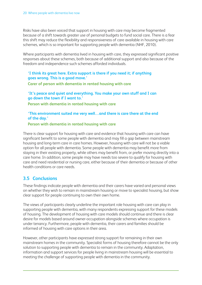Risks have also been voiced that support in housing with care may become fragmented because of a shift towards greater use of personal budgets to fund social care. There is a fear this shift may reduce the flexibility and responsiveness of care available in housing with care schemes, which is so important for supporting people with dementia (NHF, 2010).

Where participants with dementia lived in housing with care, they expressed significant positive responses about these schemes, both because of additional support and also because of the freedom and independence such schemes afforded individuals.

**'I think its great here. Extra support is there if you need it; if anything goes wrong. This is a good move.'**

**Carer of person with dementia in rented housing with care**

**'It's peace and quiet and everything. You make your own stuff and I can go down the town if I want to.'**

**Person with dementia in rented housing with care**

**'This environment suited me very well…and there is care there at the end of the day.'**

**Person with dementia in rented housing with care**

There is clear support for housing with care and evidence that housing with care can have significant benefit to some people with dementia and may fill a gap between mainstream housing and long-term care in care homes. However, housing with care will not be a viable option for all people with dementia. Some people with dementia may benefit more from staying in their existing property, while others may benefit from, or prefer moving directly into a care home. In addition, some people may have needs too severe to qualify for housing with care and need residential or nursing care, either because of their dementia or because of other health conditions or care needs.

# **3.5 Conclusions**

These findings indicate people with dementia and their carers have varied and personal views on whether they wish to remain in mainstream housing or move to specialist housing, but show clear support for people continuing to own their own home.

The views of participants clearly underline the important role housing with care can play in supporting people with dementia, with many respondents expressing support for these models of housing. The development of housing with care models should continue and there is clear desire for models based around owner-occupation alongside schemes where occupation is under tenancy. Furthermore, people with dementia, their carers and families should be informed of housing with care options in their area.

However, other participants have expressed strong support for remaining in their own mainstream homes in the community. Specialist forms of housing therefore cannot be the only solution to supporting people with dementia to remain in the community. Adaptation, information and support services for people living in mainstream housing will be essential to meeting the challenge of supporting people with dementia in the community.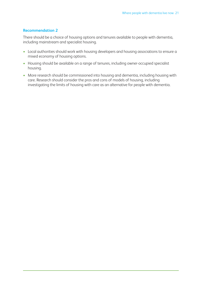#### **Recommendation 2**

There should be a choice of housing options and tenures available to people with dementia, including mainstream and specialist housing.

- Local authorities should work with housing developers and housing associations to ensure a mixed economy of housing options.
- Housing should be available on a range of tenures, including owner-occupied specialist housing.
- More research should be commissioned into housing and dementia, including housing with care. Research should consider the pros and cons of models of housing, including investigating the limits of housing with care as an alternative for people with dementia.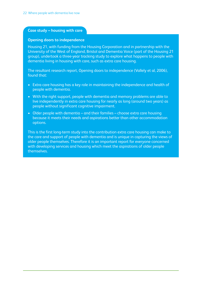#### **Case study – housing with care**

#### **Opening doors to independence**

Housing 21, with funding from the Housing Corporation and in partnership with the University of the West of England, Bristol and Dementia Voice (part of the Housing 21 group), undertook a three-year tracking study to explore what happens to people with dementia living in housing with care, such as extra care housing.

The resultant research report, Opening doors to independence (Vallely et al, 2006), found that:

- Extra care housing has a key role in maintaining the independence and health of people with dementia.
- With the right support, people with dementia and memory problems are able to live independently in extra care housing for nearly as long (around two years) as people without significant cognitive impairment.
- Older people with dementia and their families choose extra care housing because it meets their needs and aspirations better than other accommodation options.

This is the first long-term study into the contribution extra care housing can make to the care and support of people with dementia and is unique in capturing the views of older people themselves. Therefore it is an important report for everyone concerned with developing services and housing which meet the aspirations of older people themselves.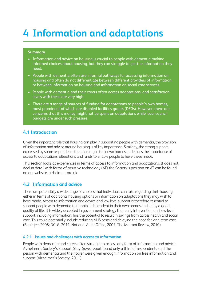# **4 Information and adaptations**

#### **Summary**

- Information and advice on housing is crucial to people with dementia making informed choices about housing, but they can struggle to get the information they need.
- People with dementia often use informal pathways for accessing information on housing and often do not differentiate between different providers of information, or between information on housing and information on social care services.
- People with dementia and their carers often access adaptations, and satisfaction levels with these are very high.
- There are a range of sources of funding for adaptations to people's own homes, most prominent of which are disabled facilities grants (DFGs). However, there are concerns that this money might not be spent on adaptations while local council budgets are under such pressure.

### **4.1 Introduction**

Given the important role that housing can play in supporting people with dementia, the provision of information and advice around housing is of key importance. Similarly, the strong support expressed by some respondents to remaining in their own homes underlines the importance of access to adaptations, alterations and funds to enable people to have these made.

This section looks at experiences in terms of access to information and adaptations. It does not deal in detail with forms of assistive technology (AT) the Society's position on AT can be found on our website, alzheimers.org.uk

## **4.2 Information and advice**

There are potentially a wide range of choices that individuals can take regarding their housing, either in terms of additional housing options or information on adaptations they may wish to have made. Access to information and advice and low-level support is therefore essential to support people with dementia to remain independent in their own homes and enjoy a good quality of life. It is widely accepted in government strategy that early intervention and low-level support, including information, has the potential to result in savings from across health and social care. This could potentially include reducing NHS costs and delaying the need for long-term care (Banerjee, 2008; DCLG, 2011, National Audit Office, 2007; The Marmot Review, 2010).

#### **4.2.1 Issues and challenges with access to information**

People with dementia and carers often struggle to access any form of information and advice. Alzheimer's Society's Support. Stay. Save. report found only a third of respondents said the person with dementia and their carer were given enough information on free information and support (Alzheimer's Society, 2011).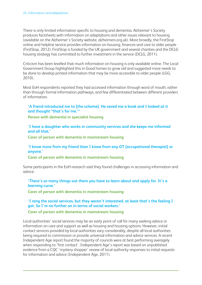There is only limited information specific to housing and dementia. Alzheimer's Society produces factsheets with information on adaptations and other issues relevant to housing (available on the Alzheimer's Society website, alzheimers.org.uk). More broadly, the FirstStop online and helpline service provides information on housing, finances and care to older people (FirstStop, 2012). FirstStop is funded by the UK government and several charities and the DCLG housing strategy has committed to further investment in the service (DCLG, 2011).

Criticism has been levelled that much information on housing is only available online. The Local Government Group highlighted this in Good homes to grow old and suggested more needs to be done to develop printed information that may be more accessible to older people (LGG, 2010).

Most EoH respondents reported they had accessed information through word of mouth, rather than through formal information pathways, and few differentiated between different providers of information.

**'A friend introduced me to [the scheme]. He saved me a book and I looked at it and thought "that's for me."'**

**Person with dementia in specialist housing**

**'I have a daughter who works in community services and she keeps me informed and all that.'**

**Carer of person with dementia in mainstream housing**

**'I know more from my friend than I know from any OT [occupational therapist] or anyone.'**

**Carer of person with dementia in mainstream housing**

Some participants in the EoH research said they found challenges in accessing information and advice.

**'There's so many things out there you have to learn about and apply for. It's a learning curve.'**

**Carer of person with dementia in mainstream housing**

# **'I rang the social services, but they weren't interested, at least that's the feeling I got. So I'm no further on in terms of social workers.'**

**Carer of person with dementia in mainstream housing**

Local authorities' social services may be an early point of call for many seeking advice or information on care and support as well as housing and housing options. However, initial contact services provided by local authorities vary considerably, despite all local authorities being required to commission or provide universal information and advice services. A recent Independent Age report found the majority of councils were at best performing averagely when responding to 'first contact'. Independent Age's report was based on unpublished evidence from a CQC 'mystery shopper' review of local authority responses to initial requests for information and advice (Independent Age, 2011).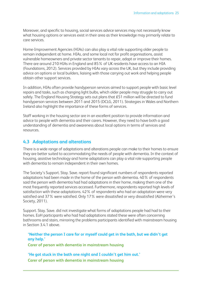Moreover, and specific to housing, social services advice services may not necessarily know what housing options or services exist in their area as their knowledge may primarily relate to care services.

Home-Improvement Agencies (HIAs) can also play a vital role supporting older people to remain independent at home. HIAs, and some local not for profit organisations, assist vulnerable homeowners and private sector tenants to repair, adapt or improve their homes. There are around 210 HIAs in England and 85% of UK residents have access to an HIA (Foundations, 2012). Services provided by HIAs vary across the UK, but they include providing advice on options or local builders, liaising with those carrying out work and helping people obtain other support services.

In addition, HIAs often provide handyperson services aimed to support people with basic level repairs and tasks, such as changing light bulbs, which older people may struggle to carry out safely. The England Housing Strategy sets out plans that £51 million will be directed to fund handyperson services between 2011 and 2015 (DCLG, 2011). Strategies in Wales and Northern Ireland also highlight the importance of these forms of services.

Staff working in the housing sector are in an excellent position to provide information and advice to people with dementia and their carers. However, they need to have both a good understanding of dementia and awareness about local options in terms of services and resources.

### **4.3 Adaptations and alterations**

There is a wide range of adaptations and alterations people can make to their homes to ensure they are better suited to accommodating the needs of people with dementia. In the context of housing, assistive technology and home adaptations can play a vital role supporting people with dementia to remain independent in their own homes.

The Society's Support. Stay. Save. report found significant numbers of respondents reported adaptations had been made in the home of the person with dementia. 40% of respondents said the person with dementia had had adaptations in their home, making them one of the most frequently reported services accessed. Furthermore, respondents reported high levels of satisfaction with these adaptations. 42% of respondents who had an adaptation were very satisfied and 37% were satisfied. Only 17% were dissatisfied or very dissatisfied (Alzheimer's Society, 2011).

Support. Stay. Save. did not investigate what forms of adaptations people had had to their homes. EoH participants who had had adaptations stated these were often concerning bathrooms and stairs, mirroring the problems participants identified with mainstream housing in Section 3.4.1 above.

**'Neither the person I care for or myself could get in the bath, but we didn't get any help.'**

**Carer of person with dementia in mainstream housing**

**'He got stuck in the bath one night and I couldn't get him out.' Carer of person with dementia in mainstream housing**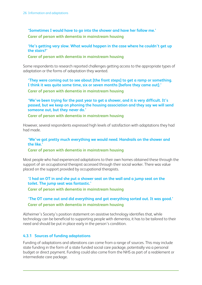**'Sometimes I would have to go into the shower and have her follow me.' Carer of person with dementia in mainstream housing**

**'He's getting very slow. What would happen in the case where he couldn't get up the stairs?'**

**Carer of person with dementia in mainstream housing**

Some respondents to research reported challenges getting access to the appropriate types of adaptation or the forms of adaptation they wanted.

**'They were coming out to see about [the front steps] to get a ramp or something. I think it was quite some time, six or seven months [before they came out].' Carer of person with dementia in mainstream housing**

**'We've been trying for the past year to get a shower, and it is very difficult. It's passed, but we keep on phoning the housing association and they say we will send someone out, but they never do.'**

**Carer of person with dementia in mainstream housing**

However, several respondents expressed high levels of satisfaction with adaptations they had had made.

**'We've got pretty much everything we would need. Handrails on the shower and the like.'**

**Carer of person with dementia in mainstream housing**

Most people who had experienced adaptations to their own homes obtained these through the support of an occupational therapist accessed through their social worker. There was value placed on the support provided by occupational therapists.

**'I had an OT in and she put a shower seat on the wall and a jump seat on the toilet. The jump seat was fantastic.'**

**Carer of person with dementia in mainstream housing**

## **'The OT came out and did everything and got everything sorted out. It was good.' Carer of person with dementia in mainstream housing**

Alzheimer's Society's position statement on assistive technology identifies that, while technology can be beneficial to supporting people with dementia, it has to be tailored to their need and should be put in place early in the person's condition.

#### **4.3.1 Sources of funding adaptations**

Funding of adaptations and alterations can come from a range of sources. This may include state funding in the form of a state funded social care package, potentially via a personal budget or direct payment. Funding could also come from the NHS as part of a reablement or intermediate care package.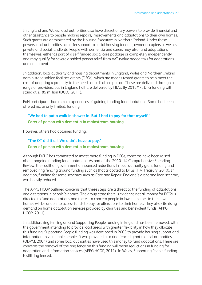In England and Wales, local authorities also have discretionary powers to provide financial and other assistance to people making repairs, improvements and adaptations to their own homes. Such grants are administered by the Housing Executive in Northern Ireland. Under these powers local authorities can offer support to social housing tenants, owner-occupiers as well as private and social landlords. People with dementia and carers may also fund adaptations themselves, either as part of a self funded social care package or completely independently and may qualify for severe disabled person relief from VAT (value added tax) for adaptations and equipment.

In addition, local authority and housing departments in England, Wales and Northern Ireland administer disabled facilities grants (DFGs), which are means tested grants to help meet the cost of adapting a property to the needs of a disabled person. These are delivered through a range of providers, but in England half are delivered by HIAs. By 2013/14, DFG funding will stand at £185 million (DCLG, 2011).

EoH participants had mixed experiences of gaining funding for adaptations. Some had been offered no, or only limited, funding.

## **'We had to put a walk-in shower in. But I had to pay for that myself.' Carer of person with dementia in mainstream housing**

However, others had obtained funding.

# **'The OT did it all. We didn't have to pay.' Carer of person with dementia in mainstream housing**

Although DCLG has committed to invest more funding in DFGs, concerns have been raised about ongoing funding for adaptations. As part of the 2010–14 Comprehensive Spending Review, the coalition government announced reductions in local authority grant funding and removed ring fencing around funding such as that allocated to DFGs (HM Treasury, 2010). In addition, funding for some schemes such as Care and Repair, England's grant and loan scheme, was heavily reduced.

The APPG HCOP outlined concerns that these steps are a threat to the funding of adaptations and alterations in people's homes. The group state there is evidence not all money for DFGs is directed to fund adaptations and there is a concern people in lower incomes in their own homes will be unable to access funds to pay for alterations to their homes. They also cite rising demand on home adaptation services provided by charities and benevolent funds (APPG HCOP, 2011).

In addition, ring fencing around Supporting People funding in England has been removed, with the government intending to provide local areas with greater flexibility in how they allocate this funding. Supporting People funding was developed in 2003 to provide housing support and information to vulnerable people. It was provided as a ring-fenced grant to local authorities (ODPM, 2004) and some local authorities have used this money to fund adaptations. There are concerns the removal of the ring fence on this funding will mean reductions in funding for adaptation and information services (APPG HCOP, 2011). In Wales, Supporting People funding is still ring fenced.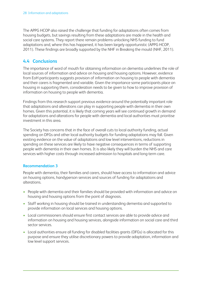The APPG HCOP also raised the challenge that funding for adaptations often comes from housing budgets, but savings resulting from these adaptations are made in the health and social care systems. They report there remain problems unlocking NHS funding to fund adaptations and, where this has happened, it has been largely opportunistic (APPG HCOP, 2011). These findings are broadly supported by the NHF in Breaking the mould (NHF, 2011).

# **4.4 Conclusions**

The importance of word of mouth for obtaining information on dementia underlines the role of local sources of information and advice on housing and housing options. However, evidence from EoH participants suggests provision of information on housing to people with dementia and their carers is fragmented and variable. Given the importance some participants place on housing in supporting them, consideration needs to be given to how to improve provision of information on housing to people with dementia.

Findings from this research support previous evidence around the potentially important role that adaptations and alterations can play in supporting people with dementia in their own homes. Given this potential, it is likely that coming years will see continued growth in demand for adaptations and alterations for people with dementia and local authorities must prioritise investment in this area.

The Society has concerns that in the face of overall cuts to local authority funding, actual spending on DFGs and other local authority budgets for funding adaptations may fall. Given existing evidence on the value of adaptations and low level interventions, reductions in spending on these services are likely to have negative consequences in terms of supporting people with dementia in their own homes. It is also likely they will burden the NHS and care services with higher costs through increased admission to hospitals and long-term care.

#### **Recommendation 3**

People with dementia, their families and carers, should have access to information and advice on housing options, handyperson services and sources of funding for adaptations and alterations.

- People with dementia and their families should be provided with information and advice on housing and housing options from the point of diagnosis.
- Staff working in housing should be trained in understanding dementia and supported to provide information on local services and housing options.
- Local commissioners should ensure first contact services are able to provide advice and information on housing and housing services, alongside information on social care and third sector services.
- Local authorities ensure all funding for disabled facilities grants (DFGs) is allocated for this purpose and ensure they utilise discretionary powers to provide adaptation, information and low level support services.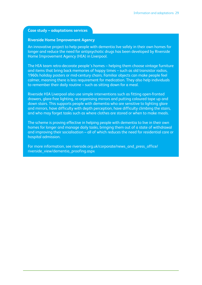#### **Case study – adaptations services**

#### **Riverside Home Improvement Agency**

An innovative project to help people with dementia live safely in their own homes for longer and reduce the need for antipsychotic drugs has been developed by Riverside Home Improvement Agency (HIA) in Liverpool.

The HIA team retro-decorate people's homes – helping them choose vintage furniture and items that bring back memories of happy times – such as old transistor radios, 1960s holiday posters or mid-century chairs. Familiar objects can make people feel calmer, meaning there is less requirement for medication. They also help individuals to remember their daily routine – such as sitting down for a meal.

Riverside HIA Liverpool also use simple interventions such as fitting open-fronted drawers, glare-free lighting, re-organising mirrors and putting coloured tape up and down stairs. This supports people with dementia who are sensitive to lighting glare and mirrors, have difficulty with depth perception, have difficulty climbing the stairs, and who may forget tasks such as where clothes are stored or when to make meals.

The scheme is proving effective in helping people with dementia to live in their own homes for longer and manage daily tasks, bringing them out of a state of withdrawal and improving their socialisation – all of which reduces the need for residential care or hospital admission.

For more information, see riverside.org.uk/corporate/news\_and\_press\_office/ riverside\_view/dementia\_proofing.aspx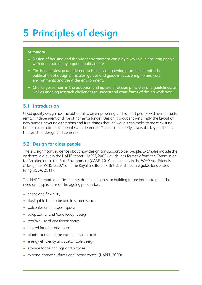# **5 Principles of design**

#### **Summary**

- Design of housing and the wider environment can play a key role in ensuring people with dementia enjoy a good quality of life.
- The issue of design and dementia is receiving growing prominence, with the publication of design principles, guides and guidelines covering homes, care environments and the wider environment.
- Challenges remain in the adoption and uptake of design principles and quidelines, as well as ongoing research challenges to understand what forms of design work best.

### **5.1 Introduction**

Good quality design has the potential to be empowering and support people with dementia to remain independent and live at home for longer. Design is broader than simply the layout of new homes, covering alterations and furnishings that individuals can make to make existing homes more suitable for people with dementia. This section briefly covers the key guidelines that exist for design and dementia.

# **5.2 Design for older people**

There is significant evidence about how design can support older people. Examples include the evidence laid out in the HAPPI report (HAPPI, 2009), guidelines formerly from the Commission for Architecture in the Built Environment (CABE, 2010), guidelines in the WHO Age Friendly cities guide (WHO, 2007) and the Royal Institute for British Architecture guide for assisted living (RIBA, 2011).

The HAPPI report identifies ten key design elements for building future homes to meet the need and aspirations of the ageing population:

- space and flexibility
- daylight in the home and in shared spaces
- balconies and outdoor space
- adaptability and 'care ready' design
- positive use of circulation space
- shared facilities and 'hubs'
- plants, trees, and the natural environment
- energy efficiency and sustainable design
- storage for belongings and bicycles
- external shared surfaces and 'home zones' (HAPPI, 2009).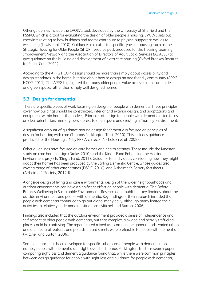Other guidelines include the EVOLVE tool, developed by the University of Sheffield and the PSSRU, which is a tool for evaluating the design of older people's housing. EVOLVE sets out checklists relating to how buildings and rooms contribute to physical support as well as to well-being (Lewis et al, 2010). Guidance also exists for specific types of housing, such as the Strategic Housing for Older People (SHOP) resource pack produced for the Housing Learning Improvement Network and the Association of Directors of Adult Social Services (ADASSS) to give guidance on the building and development of extra care housing (Oxford Brookes Institute for Public Care, 2011).

According to the APPG HCOP, design should be more than simply about accessibility and design standards in the home, but also about how to design an age friendly community (APPG HCOP, 2011). The APPG highlighted that many older people value access to local amenities and green space, rather than simply well designed homes.

### **5.3 Design for dementia**

There are specific pieces of work focusing on design for people with dementia. These principles cover how buildings should be constructed, interior and exterior design, and adaptations and equipment within homes themselves. Principles of design for people with dementia often focus on clear orientation, memory cues, access to open space and creating a 'homely' environment.

A significant amount of guidance around design for dementia is focused on principles of design for housing with care (Thomas Pocklington Trust, 2010). This includes guidance produced for the Housing LIN by PRP Architects (Nicholson et al; 2008).

Other guidelines have focused on care homes and health settings. These include the Kingston study on care home design (Drake, 2010) and the King's Fund Enhancing the Healing Environment projects (King's Fund, 2011). Guidance for individuals considering how they might adapt their homes has been produced by the Stirling Dementia Centre, whose guides also cover a range of other care settings (DSDC, 2010), and Alzheimer's Society factsheets (Alzheimer's Society, 2012d).

Alongside design of living and care environments, design of the wider neighbourhoods and outdoor environments can have a significant effect on people with dementia. The Oxford Brookes Wellbeing in Sustainable Environments Research Unit published key findings about the outside environment and people with dementia. Key findings of their research included that people with dementia continued to go out alone, many daily, although many limited their activities to relatively undemanding situations (Mitchell and Burton, 2006).

Findings also included that the outdoor environment provided a sense of independence and self-respect to older people with dementia, but that complex, crowded and heavily trafficked places could be confusing. The report stated mixed use, compact neighbourhoods, varied urban and architectural features and pedestrianised streets were preferable to people with dementia (Mitchell and Burton, 2006).

Some guidance has been developed for specific subgroups of people with dementia, most notably people with dementia and sight loss. The Thomas Pocklington Trust's research paper comparing sight loss and dementia guidance found that, while there were common principles between design guidance for people with sight loss and guidance for people with dementia,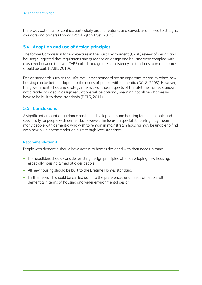there was potential for conflict, particularly around features and curved, as opposed to straight, corridors and corners (Thomas Pocklington Trust, 2010).

# **5.4 Adoption and use of design principles**

The former Commission for Architecture in the Built Environment (CABE) review of design and housing suggested that regulations and guidance on design and housing were complex, with crossover between the two. CABE called for a greater consistency in standards to which homes should be built (CABE, 2010).

Design standards such as the Lifetime Homes standard are an important means by which new housing can be better adapted to the needs of people with dementia (DCLG, 2008). However, the government's housing strategy makes clear those aspects of the Lifetime Homes standard not already included in design regulations will be optional, meaning not all new homes will have to be built to these standards (DCLG, 2011).

# **5.5 Conclusions**

A significant amount of guidance has been developed around housing for older people and specifically for people with dementia. However, the focus on specialist housing may mean many people with dementia who wish to remain in mainstream housing may be unable to find even new build accommodation built to high-level standards.

#### **Recommendation 4**

People with dementia should have access to homes designed with their needs in mind.

- Homebuilders should consider existing design principles when developing new housing, especially housing aimed at older people.
- All new housing should be built to the Lifetime Homes standard.
- Further research should be carried out into the preferences and needs of people with dementia in terms of housing and wider environmental design.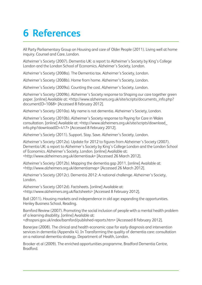# **6 References**

All Party Parliamentary Group on Housing and care of Older People (2011). Living well at home inquiry. Counsel and Care, London.

Alzheimer's Society (2007). Dementia UK: a report to Alzheimer's Society by King's College London and the London School of Economics. Alzheimer's Society, London.

Alzheimer's Society (2008a). The Dementia tax. Alzheimer's Society, London.

Alzheimer's Society (2008b). Home from home. Alzheimer's Society, London.

Alzheimer's Society (2009a). Counting the cost. Alzheimer's Society, London.

Alzheimer's Society (2009b). Alzheimer's Society response to Shaping our care together green paper. [online] Available at: <http://www.alzheimers.org.uk/site/scripts/documents\_info.php? documentID=1068> [Accessed 8 February 2012].

Alzheimer's Society (2010a). My name is not dementia. Alzheimer's Society, London.

Alzheimer's Society (2010b). Alzheimer's Society response to Paying for Care in Wales consultation. [online] Available at: <http://www.alzheimers.org.uk/site/scripts/download\_ info.php?downloadID=417> [Accessed 8 February 2012].

Alzheimer's Society (2011). Support. Stay. Save. Alzheimer's Society, London.

Alzheimer's Society (2012a). Update for 2012 to figures from Alzheimer's Society (2007). Dementia UK: a report to Alzheimer's Society by King's College London and the London School of Economics. Alzheimer's Society, London. [online] Available at: <http://www.alzheimers.org.uk/dementiauk> [Accessed 26 March 2012].

Alzheimer's Society (2012b). Mapping the dementia gap 2011. [online] Available at: <http://www.alzheimers.org.uk/dementiamap> [Accessed 26 March 2012].

Alzheimer's Society (2012c). Dementia 2012: A national challenge. Alzheimer's Society, London.

Alzheimer's Society (2012d). Factsheets. [online] Available at: <http://www.alzheimers.org.uk/factsheets> [Accessed 8 February 2012].

Ball (2011). Housing markets and independence in old age: expanding the opportunities. Henley Business School, Reading.

Bamford Review (2007). Promoting the social inclusion of people with a mental health problem of a learning disability. [online] Available at:

<dhsspsni.gov.uk/index/bamford/published-reports.htm> [Accessed 8 February 2012].

Banerjee (2008). The clinical and health economic case for early diagnosis and intervention services in dementia (Appendix 4). In Transforming the quality of dementia care: consultation on a national dementia strategy. Department of Health, London.

Brooker et al (2009). The enriched opportunities programme. Bradford Dementia Centre, Bradford.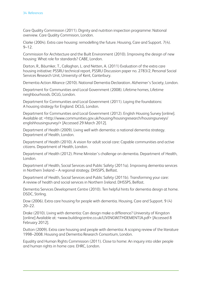Care Quality Commission (2011). Dignity and nutrition inspection programme: National overview. Care Quality Commision, London.

Clarke (2004). Extra care housing: remodelling the future. Housing, Care and Support. 7(4).  $9 - 12$ 

Commission for Architecture and the Built Environment (2010). Improving the design of new housing: What role for standards? CABE, London.

Darton, R., Bäumker, T., Callaghan, L. and Netten, A. (2011) Evaluation of the extra care housing initiative: PSSRU technical report, PSSRU Discussion paper no. 2783/2, Personal Social Services Research Unit, University of Kent, Canterbury.

Dementia Action Alliance (2010). National Dementia Declaration. Alzheimer's Society, London.

Department for Communities and Local Government (2008). Lifetime homes, Lifetime neighbourhoods. DCLG, London.

Department for Communities and Local Government (2011). Laying the foundations: A housing strategy for England. DCLG, London.

Department for Communities and Local Government (2012). English Housing Survey [online]. Available at: <http://www.communities.gov.uk/housing/housingresearch/housingsurveys/ englishhousingsurvey/> [Accessed 29 March 2012].

Department of Health (2009). Living well with dementia: a national dementia strategy. Department of Health, London.

Department of Health (2010). A vision for adult social care: Capable communities and active citizens. Department of Health, London.

Department of Health (2012). Prime Minister's challenge on dementia. Department of Health, London.

Department of Health, Social Services and Public Safety (2011a). Improving dementia services in Northern Ireland – A regional strategy. DHSSPS, Belfast.

Department of Health, Social Services and Public Safety (2011b). Transforming your care: A review of health and social services in Northern Ireland. DHSSPS, Belfast.

Dementia Services Development Centre (2010). Ten helpful hints for dementia design at home. DSDC, Stirling.

Dow (2006). Extra care housing for people with dementia. Housing, Care and Support. 9 (4)  $20 - 22$ .

Drake (2010). Living with dementia: Can design make a difference? University of Kingston [online] Available at: <www.buildingcentre.co.uk/LIVINGWITHDEMENTIA.pdf> [Accessed 8 February 2012].

Dutton (2009). Extra care housing and people with dementia: A scoping review of the literature 1998–2008. Housing and Dementia Research Consortium, London.

Equality and Human Rights Commission (2011). Close to home: An inquiry into older people and human rights in home care. EHRC, London.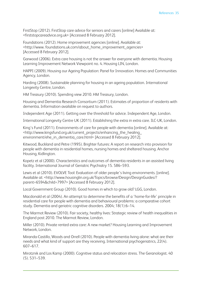FirstStop (2012). FirstStop care advice for seniors and carers [online] Available at: <firststopcareadvice.org.uk> [Accessed 8 February 2012].

Foundations (2012). Home improvement agencies [online]. Available at: <http://www. foundations.uk.com/about\_home\_improvement\_agencies> [Accessed 8 February 2012].

Garwood (2006). Extra care housing is not the answer for everyone with dementia. Housing Learning Improvement Network Viewpoint no. 4. Housing LIN, London.

HAPPI (2009). Housing our Ageing Population: Panel for Innovation. Homes and Communities Agency, London.

Harding (2008). Sustainable planning for housing in an ageing population. International Longevity Centre, London.

HM Treasury (2010). Spending view 2010. HM Treasury, London.

Housing and Dementia Research Consortium (2011). Estimates of proportion of residents with dementia. Information available on request to authors.

Independent Age (2011). Getting over the threshold for advice. Independent Age, London.

International Longevity Centre UK (2011). Establishing the extra in extra care. ILC-UK, London.

King's Fund (2011). Environments of care for people with dementia [online]. Available at: <http://www.kingsfund.org.uk/current\_projects/enhancing\_the\_healing\_ environment/ehe\_in\_dementia\_care.html> [Accessed 8 February 2012].

Kitwood, Buckland and Petre (1995). Brighter futures: A report on research into provision for people with dementia in residential homes, nursing homes and sheltered housing. Anchor Housing, Kidlington.

Kopetz et al (2000). Characteristics and outcomes of dementia residents in an assisted living facility. International Journal of Geriatric Psychiatry 15. 586–593.

Lewis et al (2010). EVOLVE Tool: Evaluation of older people's living environments. [online]. Available at: <http://www.housinglin.org.uk/Topics/browse/Design/DesignGuides/? parent=6594&child=7997> [Accessed 8 February 2012].

Local Government Group (2010). Good homes in which to grow old? LGG, London.

Macdonald et al (2004). An attempt to determine the benefits of a 'home-for-life' principle in residential care for people with dementia and behavioural problems: a comparative cohort study. Dementia and geriatric cognitive disorders*.* 2004; 18(1):6–14.

The Marmot Review (2010). Fair society, healthy lives: Strategic review of health inequalities in England post 2010. The Marmot Review, London.

Miller (2010). Private rented extra care: A new market? Housing Learning and Improvement Network, London.

Miranda-Castillo, Woods and Orrell (2010). People with dementia living alone: what are their needs and what kind of support are they receiving. International psychogeriatrics, 22(4). 607–617.

Mirotznik and Los Kamp (2000). Cognitive status and relocation stress. The Geranologist. 40 (5). 531–539.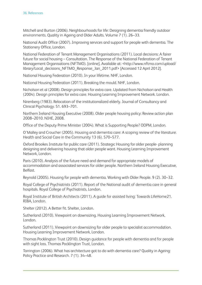Mitchell and Burton (2006). Neighbourhoods for life: Designing dementia friendly outdoor environments. Quality in Ageing and Older Adults. Volume 7 (1). 26–33.

National Audit Office (2007). Improving services and support for people with dementia. The Stationery Office, London.

National Federation of Tenant Management Organisations (2011). Local decisions: A fairer future for social housing – Consultation. The Response of the National Federation of Tenant Management Organisations (NFTMO). [online]. Available at: <http://www.nftmo.com/upload/ library/Local\_decisions\_NFTMO\_Response\_Jan\_2011.pdf> [Accessed 12 April 2012].

National Housing Federation (2010). In your lifetime. NHF, London.

National Housing Federation (2011). Breaking the mould. NHF, London.

Nicholson et al (2008). Design principles for extra care. Updated from Nicholson and Health (2004). Design principles for extra care. Housing Learning Improvement Network. London.

Nirenberg (1983). Relocation of the institutionalized elderly. Journal of Consultancy and Clinical Psychology. 51. 693–701.

Northern Ireland Housing Executive (2008). Older people housing policy: Review action plan 2008–2010. NIHE, 2008.

Office of the Deputy Prime Minister (2004). What is Supporting People? ODPM, London.

O'Malley and Croucher (2005). Housing and dementia care: A scoping review of the literature. Health and Social Care in the Community 13 (6). 570–577.

Oxford Brookes Institute for public care (2011). Strategic Housing for older people- planning designing and delivering housing that older people want. Housing Learning Improvement Network, London.

Paris (2010). Analysis of the future need and demand for appropriate models of accommodation and associated services for older people. Northern Ireland Housing Executive, Belfast.

Reynold (2005). Housing for people with dementia. Working with Older People. 9 (2). 30–32.

Royal College of Psychiatrists (2011). Report of the National audit of dementia care in general hospitals. Royal College of Psychiatrists, London.

Royal Institute of British Architects (2011). A guide for assisted living: Towards LifeHome21. RIBA, London.

Shelter (2012). A Better fit. Shelter, London.

Sutherland (2010). Viewpoint on downsizing. Housing Learning Improvement Network, London.

Sutherland (2011). Viewpoint on downsizing for older people to specialist accommodation. Housing Learning Improvement Network, London.

Thomas Pocklington Trust (2010). Design guidance for people with dementia and for people with sight loss. Thomas Pocklington Trust, London.

Torrington (2006). What has architecture got to do with dementia care? Quality in Ageing: Policy Practice and Research. 7 (1). 34–48.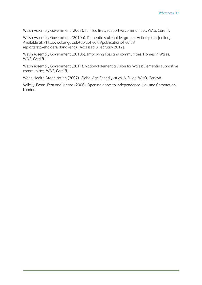Welsh Assembly Government (2007). Fulfilled lives, supportive communities. WAG, Cardiff.

Welsh Assembly Government (2010a). Dementia stakeholder groups: Action plans [online]. Available at: <http://wakes.gov.uk/topics/health/publications/health/ repiorts/stakeholders/?land=eng> [Accessed 8 February 2012].

Welsh Assembly Government (2010b). Improving lives and communities: Homes in Wales. WAG, Cardiff.

Welsh Assembly Government (2011). National dementia vision for Wales: Dementia supportive communities. WAG, Cardiff.

World Health Organization (2007). Global Age Friendly cities: A Guide. WHO, Geneva.

Vallelly, Evans, Fear and Means (2006). Opening doors to independence. Housing Corporation, London.